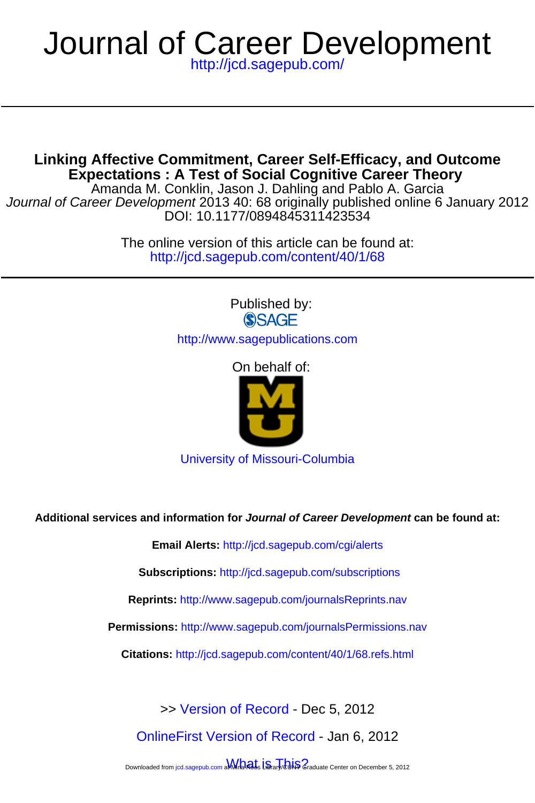## <http://jcd.sagepub.com/> Journal of Career Development

**Expectations : A Test of Social Cognitive Career Theory Linking Affective Commitment, Career Self-Efficacy, and Outcome**

DOI: 10.1177/0894845311423534 Journal of Career Development 2013 40: 68 originally published online 6 January 2012 Amanda M. Conklin, Jason J. Dahling and Pablo A. Garcia

> <http://jcd.sagepub.com/content/40/1/68> The online version of this article can be found at:

> > Published by: **SSAGE**

<http://www.sagepublications.com>

On behalf of:



[University of Missouri-Columbia](http://www.missouri.edu)

**Additional services and information for Journal of Career Development can be found at:**

**Email Alerts:** <http://jcd.sagepub.com/cgi/alerts>

**Subscriptions:** <http://jcd.sagepub.com/subscriptions>

**Reprints:** <http://www.sagepub.com/journalsReprints.nav>

**Permissions:** <http://www.sagepub.com/journalsPermissions.nav>

**Citations:** <http://jcd.sagepub.com/content/40/1/68.refs.html>

>> [Version of Record -](http://jcd.sagepub.com/content/40/1/68.full.pdf) Dec 5, 2012

[OnlineFirst Version of Record -](http://jcd.sagepub.com/content/early/2011/10/19/0894845311423534.full.pdf) Jan 6, 2012

Downloaded from [jcd.sagepub.com a](http://jcd.sagepub.com/)**MMranaets Library/CUNS** Graduate Center on December 5, 2012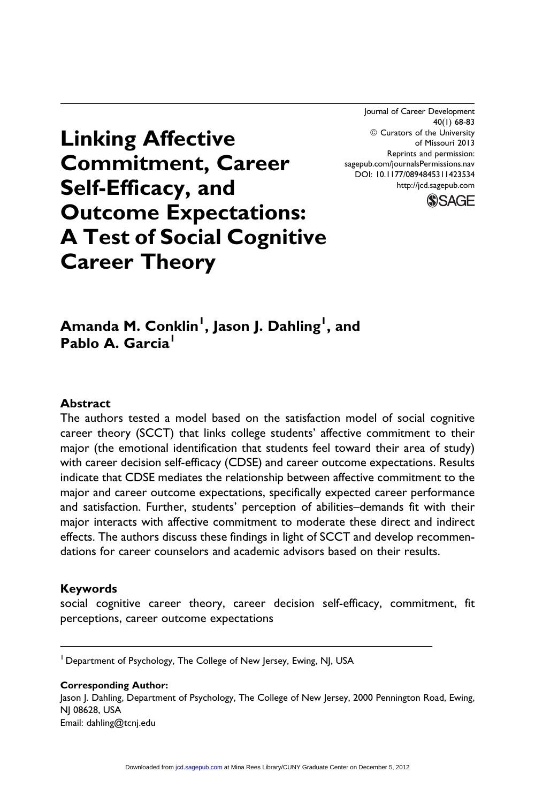Journal of Career Development 40(1) 68-83  $@$  Curators of the University of Missouri 2013 Reprints and permission: sagepub.com/journalsPermissions.nav DOI: 10.1177/0894845311423534 http://jcd.sagepub.com



# Linking Affective Commitment, Career Self-Efficacy, and Outcome Expectations: A Test of Social Cognitive Career Theory

Amanda M. Conklin<sup>1</sup>, Jason J. Dahling<sup>1</sup>, and Pablo A. Garcia<sup>1</sup>

#### **Abstract**

The authors tested a model based on the satisfaction model of social cognitive career theory (SCCT) that links college students' affective commitment to their major (the emotional identification that students feel toward their area of study) with career decision self-efficacy (CDSE) and career outcome expectations. Results indicate that CDSE mediates the relationship between affective commitment to the major and career outcome expectations, specifically expected career performance and satisfaction. Further, students' perception of abilities–demands fit with their major interacts with affective commitment to moderate these direct and indirect effects. The authors discuss these findings in light of SCCT and develop recommendations for career counselors and academic advisors based on their results.

#### Keywords

social cognitive career theory, career decision self-efficacy, commitment, fit perceptions, career outcome expectations

Corresponding Author: Jason J. Dahling, Department of Psychology, The College of New Jersey, 2000 Pennington Road, Ewing, NJ 08628, USA Email: dahling@tcnj.edu

<sup>1</sup> Department of Psychology, The College of New Jersey, Ewing, NJ, USA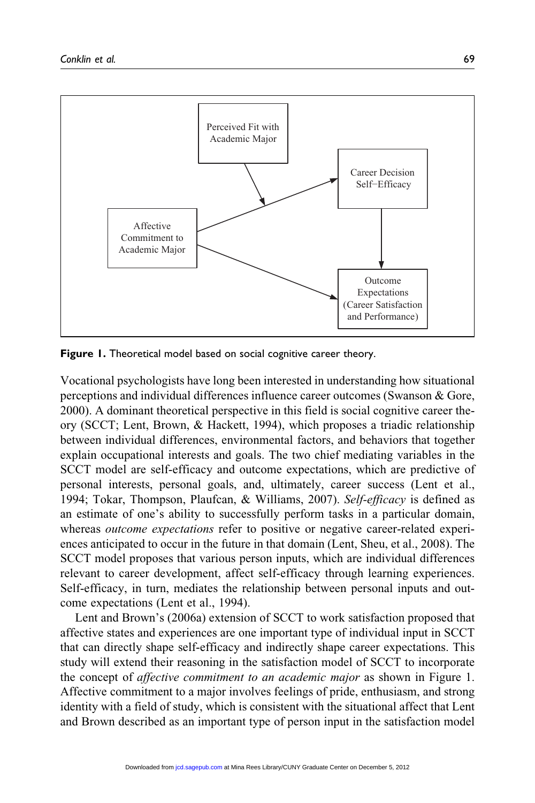

Figure 1. Theoretical model based on social cognitive career theory.

Vocational psychologists have long been interested in understanding how situational perceptions and individual differences influence career outcomes (Swanson & Gore, 2000). A dominant theoretical perspective in this field is social cognitive career theory (SCCT; Lent, Brown, & Hackett, 1994), which proposes a triadic relationship between individual differences, environmental factors, and behaviors that together explain occupational interests and goals. The two chief mediating variables in the SCCT model are self-efficacy and outcome expectations, which are predictive of personal interests, personal goals, and, ultimately, career success (Lent et al., 1994; Tokar, Thompson, Plaufcan, & Williams, 2007). Self-efficacy is defined as an estimate of one's ability to successfully perform tasks in a particular domain, whereas *outcome expectations* refer to positive or negative career-related experiences anticipated to occur in the future in that domain (Lent, Sheu, et al., 2008). The SCCT model proposes that various person inputs, which are individual differences relevant to career development, affect self-efficacy through learning experiences. Self-efficacy, in turn, mediates the relationship between personal inputs and outcome expectations (Lent et al., 1994).

Lent and Brown's (2006a) extension of SCCT to work satisfaction proposed that affective states and experiences are one important type of individual input in SCCT that can directly shape self-efficacy and indirectly shape career expectations. This study will extend their reasoning in the satisfaction model of SCCT to incorporate the concept of affective commitment to an academic major as shown in Figure 1. Affective commitment to a major involves feelings of pride, enthusiasm, and strong identity with a field of study, which is consistent with the situational affect that Lent and Brown described as an important type of person input in the satisfaction model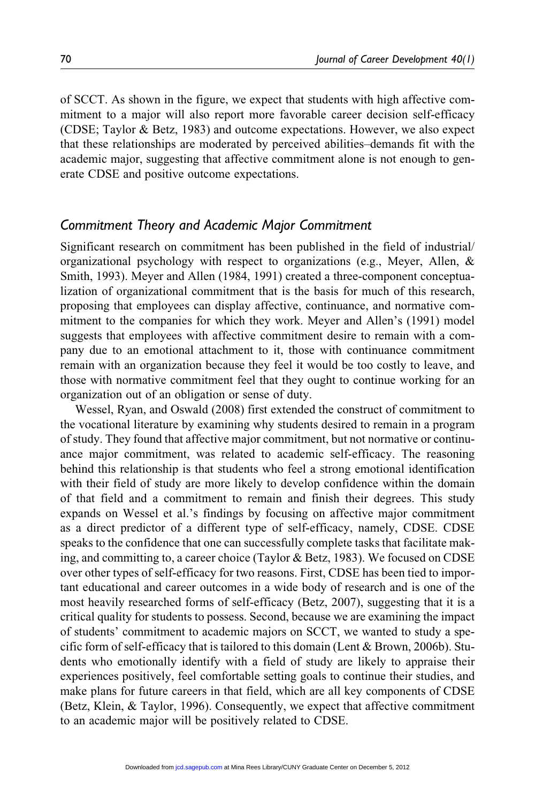of SCCT. As shown in the figure, we expect that students with high affective commitment to a major will also report more favorable career decision self-efficacy (CDSE; Taylor & Betz, 1983) and outcome expectations. However, we also expect that these relationships are moderated by perceived abilities–demands fit with the academic major, suggesting that affective commitment alone is not enough to generate CDSE and positive outcome expectations.

### Commitment Theory and Academic Major Commitment

Significant research on commitment has been published in the field of industrial/ organizational psychology with respect to organizations (e.g., Meyer, Allen, & Smith, 1993). Meyer and Allen (1984, 1991) created a three-component conceptualization of organizational commitment that is the basis for much of this research, proposing that employees can display affective, continuance, and normative commitment to the companies for which they work. Meyer and Allen's (1991) model suggests that employees with affective commitment desire to remain with a company due to an emotional attachment to it, those with continuance commitment remain with an organization because they feel it would be too costly to leave, and those with normative commitment feel that they ought to continue working for an organization out of an obligation or sense of duty.

Wessel, Ryan, and Oswald (2008) first extended the construct of commitment to the vocational literature by examining why students desired to remain in a program of study. They found that affective major commitment, but not normative or continuance major commitment, was related to academic self-efficacy. The reasoning behind this relationship is that students who feel a strong emotional identification with their field of study are more likely to develop confidence within the domain of that field and a commitment to remain and finish their degrees. This study expands on Wessel et al.'s findings by focusing on affective major commitment as a direct predictor of a different type of self-efficacy, namely, CDSE. CDSE speaks to the confidence that one can successfully complete tasks that facilitate making, and committing to, a career choice (Taylor & Betz, 1983). We focused on CDSE over other types of self-efficacy for two reasons. First, CDSE has been tied to important educational and career outcomes in a wide body of research and is one of the most heavily researched forms of self-efficacy (Betz, 2007), suggesting that it is a critical quality for students to possess. Second, because we are examining the impact of students' commitment to academic majors on SCCT, we wanted to study a specific form of self-efficacy that is tailored to this domain (Lent & Brown, 2006b). Students who emotionally identify with a field of study are likely to appraise their experiences positively, feel comfortable setting goals to continue their studies, and make plans for future careers in that field, which are all key components of CDSE (Betz, Klein, & Taylor, 1996). Consequently, we expect that affective commitment to an academic major will be positively related to CDSE.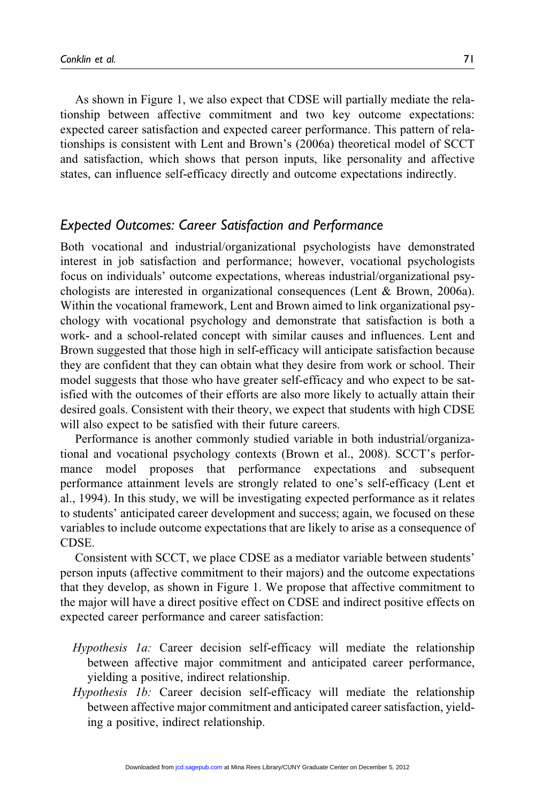As shown in Figure 1, we also expect that CDSE will partially mediate the relationship between affective commitment and two key outcome expectations: expected career satisfaction and expected career performance. This pattern of relationships is consistent with Lent and Brown's (2006a) theoretical model of SCCT and satisfaction, which shows that person inputs, like personality and affective states, can influence self-efficacy directly and outcome expectations indirectly.

## Expected Outcomes: Career Satisfaction and Performance

Both vocational and industrial/organizational psychologists have demonstrated interest in job satisfaction and performance; however, vocational psychologists focus on individuals' outcome expectations, whereas industrial/organizational psychologists are interested in organizational consequences (Lent & Brown, 2006a). Within the vocational framework, Lent and Brown aimed to link organizational psychology with vocational psychology and demonstrate that satisfaction is both a work- and a school-related concept with similar causes and influences. Lent and Brown suggested that those high in self-efficacy will anticipate satisfaction because they are confident that they can obtain what they desire from work or school. Their model suggests that those who have greater self-efficacy and who expect to be satisfied with the outcomes of their efforts are also more likely to actually attain their desired goals. Consistent with their theory, we expect that students with high CDSE will also expect to be satisfied with their future careers.

Performance is another commonly studied variable in both industrial/organizational and vocational psychology contexts (Brown et al., 2008). SCCT's performance model proposes that performance expectations and subsequent performance attainment levels are strongly related to one's self-efficacy (Lent et al., 1994). In this study, we will be investigating expected performance as it relates to students' anticipated career development and success; again, we focused on these variables to include outcome expectations that are likely to arise as a consequence of CDSE.

Consistent with SCCT, we place CDSE as a mediator variable between students' person inputs (affective commitment to their majors) and the outcome expectations that they develop, as shown in Figure 1. We propose that affective commitment to the major will have a direct positive effect on CDSE and indirect positive effects on expected career performance and career satisfaction:

- Hypothesis 1a: Career decision self-efficacy will mediate the relationship between affective major commitment and anticipated career performance, yielding a positive, indirect relationship.
- Hypothesis 1b: Career decision self-efficacy will mediate the relationship between affective major commitment and anticipated career satisfaction, yielding a positive, indirect relationship.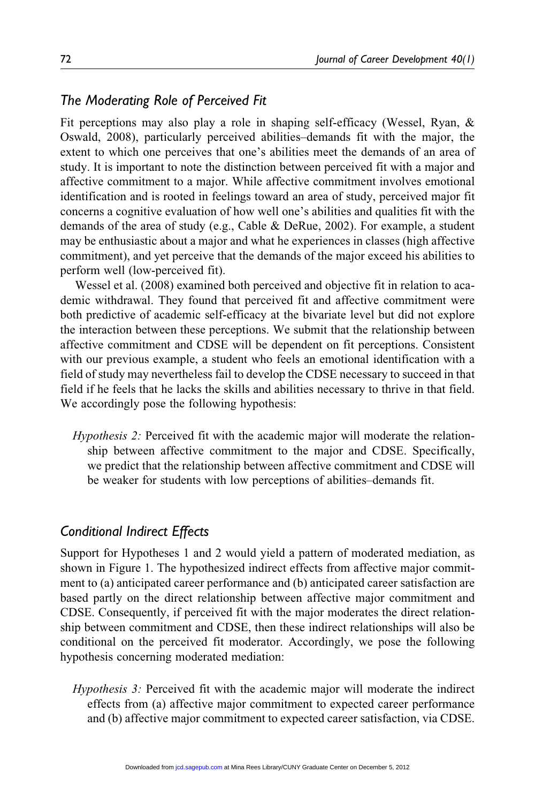## The Moderating Role of Perceived Fit

Fit perceptions may also play a role in shaping self-efficacy (Wessel, Ryan, & Oswald, 2008), particularly perceived abilities–demands fit with the major, the extent to which one perceives that one's abilities meet the demands of an area of study. It is important to note the distinction between perceived fit with a major and affective commitment to a major. While affective commitment involves emotional identification and is rooted in feelings toward an area of study, perceived major fit concerns a cognitive evaluation of how well one's abilities and qualities fit with the demands of the area of study (e.g., Cable & DeRue, 2002). For example, a student may be enthusiastic about a major and what he experiences in classes (high affective commitment), and yet perceive that the demands of the major exceed his abilities to perform well (low-perceived fit).

Wessel et al. (2008) examined both perceived and objective fit in relation to academic withdrawal. They found that perceived fit and affective commitment were both predictive of academic self-efficacy at the bivariate level but did not explore the interaction between these perceptions. We submit that the relationship between affective commitment and CDSE will be dependent on fit perceptions. Consistent with our previous example, a student who feels an emotional identification with a field of study may nevertheless fail to develop the CDSE necessary to succeed in that field if he feels that he lacks the skills and abilities necessary to thrive in that field. We accordingly pose the following hypothesis:

Hypothesis 2: Perceived fit with the academic major will moderate the relationship between affective commitment to the major and CDSE. Specifically, we predict that the relationship between affective commitment and CDSE will be weaker for students with low perceptions of abilities–demands fit.

## Conditional Indirect Effects

Support for Hypotheses 1 and 2 would yield a pattern of moderated mediation, as shown in Figure 1. The hypothesized indirect effects from affective major commitment to (a) anticipated career performance and (b) anticipated career satisfaction are based partly on the direct relationship between affective major commitment and CDSE. Consequently, if perceived fit with the major moderates the direct relationship between commitment and CDSE, then these indirect relationships will also be conditional on the perceived fit moderator. Accordingly, we pose the following hypothesis concerning moderated mediation:

Hypothesis 3: Perceived fit with the academic major will moderate the indirect effects from (a) affective major commitment to expected career performance and (b) affective major commitment to expected career satisfaction, via CDSE.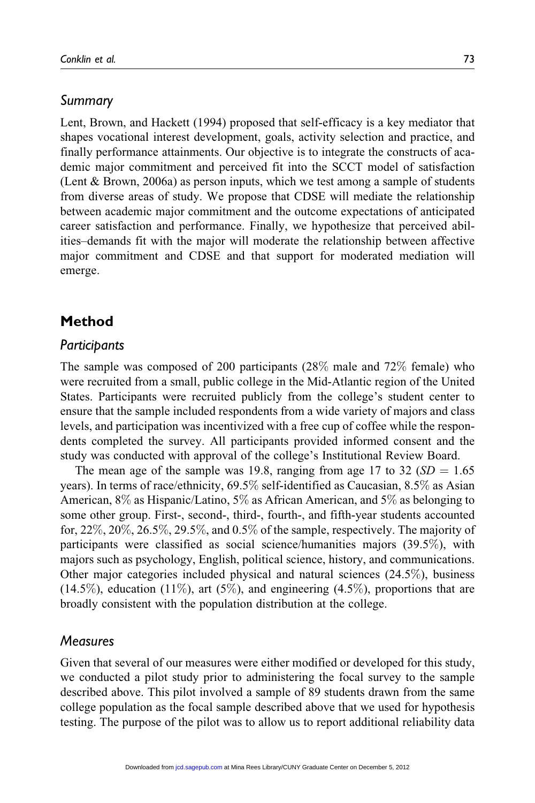## Summary

Lent, Brown, and Hackett (1994) proposed that self-efficacy is a key mediator that shapes vocational interest development, goals, activity selection and practice, and finally performance attainments. Our objective is to integrate the constructs of academic major commitment and perceived fit into the SCCT model of satisfaction (Lent & Brown, 2006a) as person inputs, which we test among a sample of students from diverse areas of study. We propose that CDSE will mediate the relationship between academic major commitment and the outcome expectations of anticipated career satisfaction and performance. Finally, we hypothesize that perceived abilities–demands fit with the major will moderate the relationship between affective major commitment and CDSE and that support for moderated mediation will emerge.

## Method

#### **Participants**

The sample was composed of 200 participants (28% male and 72% female) who were recruited from a small, public college in the Mid-Atlantic region of the United States. Participants were recruited publicly from the college's student center to ensure that the sample included respondents from a wide variety of majors and class levels, and participation was incentivized with a free cup of coffee while the respondents completed the survey. All participants provided informed consent and the study was conducted with approval of the college's Institutional Review Board.

The mean age of the sample was 19.8, ranging from age 17 to 32 ( $SD = 1.65$ ) years). In terms of race/ethnicity, 69.5% self-identified as Caucasian, 8.5% as Asian American, 8% as Hispanic/Latino, 5% as African American, and 5% as belonging to some other group. First-, second-, third-, fourth-, and fifth-year students accounted for,  $22\%, 20\%, 26.5\%, 29.5\%,$  and  $0.5\%$  of the sample, respectively. The majority of participants were classified as social science/humanities majors (39.5%), with majors such as psychology, English, political science, history, and communications. Other major categories included physical and natural sciences (24.5%), business  $(14.5\%)$ , education  $(11\%)$ , art  $(5\%)$ , and engineering  $(4.5\%)$ , proportions that are broadly consistent with the population distribution at the college.

#### Measures

Given that several of our measures were either modified or developed for this study, we conducted a pilot study prior to administering the focal survey to the sample described above. This pilot involved a sample of 89 students drawn from the same college population as the focal sample described above that we used for hypothesis testing. The purpose of the pilot was to allow us to report additional reliability data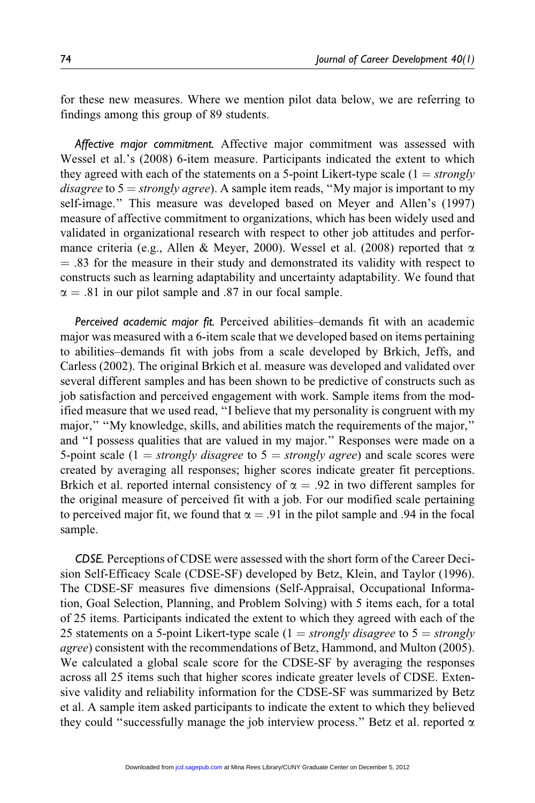for these new measures. Where we mention pilot data below, we are referring to findings among this group of 89 students.

Affective major commitment. Affective major commitment was assessed with Wessel et al.'s (2008) 6-item measure. Participants indicated the extent to which they agreed with each of the statements on a 5-point Likert-type scale  $(1 = strongly$ disagree to  $5 =$  strongly agree). A sample item reads, "My major is important to my self-image.'' This measure was developed based on Meyer and Allen's (1997) measure of affective commitment to organizations, which has been widely used and validated in organizational research with respect to other job attitudes and performance criteria (e.g., Allen & Meyer, 2000). Wessel et al. (2008) reported that  $\alpha$  $=$  .83 for the measure in their study and demonstrated its validity with respect to constructs such as learning adaptability and uncertainty adaptability. We found that  $\alpha = .81$  in our pilot sample and .87 in our focal sample.

Perceived academic major fit. Perceived abilities–demands fit with an academic major was measured with a 6-item scale that we developed based on items pertaining to abilities–demands fit with jobs from a scale developed by Brkich, Jeffs, and Carless (2002). The original Brkich et al. measure was developed and validated over several different samples and has been shown to be predictive of constructs such as job satisfaction and perceived engagement with work. Sample items from the modified measure that we used read, ''I believe that my personality is congruent with my major," "My knowledge, skills, and abilities match the requirements of the major," and ''I possess qualities that are valued in my major.'' Responses were made on a 5-point scale (1 = strongly disagree to  $5 =$  strongly agree) and scale scores were created by averaging all responses; higher scores indicate greater fit perceptions. Brkich et al. reported internal consistency of  $\alpha = .92$  in two different samples for the original measure of perceived fit with a job. For our modified scale pertaining to perceived major fit, we found that  $\alpha = .91$  in the pilot sample and 0.94 in the focal sample.

CDSE. Perceptions of CDSE were assessed with the short form of the Career Decision Self-Efficacy Scale (CDSE-SF) developed by Betz, Klein, and Taylor (1996). The CDSE-SF measures five dimensions (Self-Appraisal, Occupational Information, Goal Selection, Planning, and Problem Solving) with 5 items each, for a total of 25 items. Participants indicated the extent to which they agreed with each of the 25 statements on a 5-point Likert-type scale (1 = *strongly disagree* to 5 = *strongly* agree) consistent with the recommendations of Betz, Hammond, and Multon (2005). We calculated a global scale score for the CDSE-SF by averaging the responses across all 25 items such that higher scores indicate greater levels of CDSE. Extensive validity and reliability information for the CDSE-SF was summarized by Betz et al. A sample item asked participants to indicate the extent to which they believed they could "successfully manage the job interview process." Betz et al. reported  $\alpha$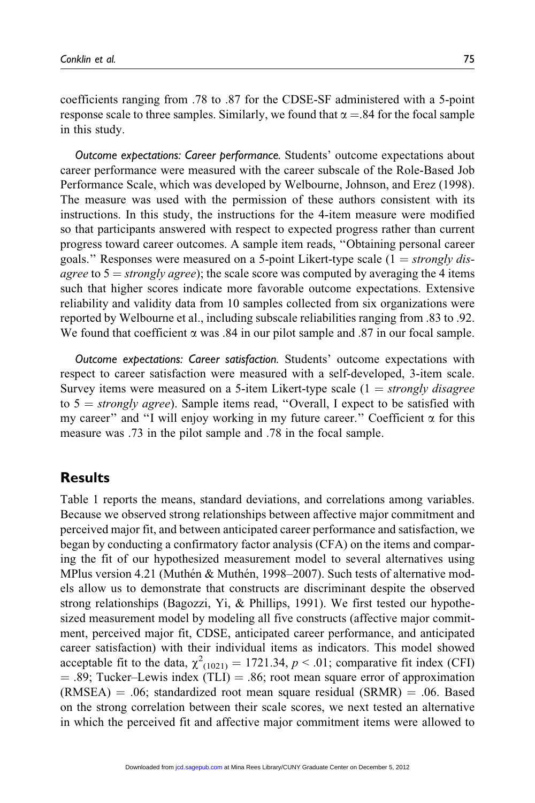in this study.

coefficients ranging from .78 to .87 for the CDSE-SF administered with a 5-point response scale to three samples. Similarly, we found that  $\alpha = .84$  for the focal sample

Outcome expectations: Career performance. Students' outcome expectations about career performance were measured with the career subscale of the Role-Based Job Performance Scale, which was developed by Welbourne, Johnson, and Erez (1998). The measure was used with the permission of these authors consistent with its instructions. In this study, the instructions for the 4-item measure were modified so that participants answered with respect to expected progress rather than current progress toward career outcomes. A sample item reads, ''Obtaining personal career goals." Responses were measured on a 5-point Likert-type scale  $(1 = strongly$  disagree to  $5 =$  strongly agree); the scale score was computed by averaging the 4 items such that higher scores indicate more favorable outcome expectations. Extensive reliability and validity data from 10 samples collected from six organizations were reported by Welbourne et al., including subscale reliabilities ranging from .83 to .92. We found that coefficient  $\alpha$  was .84 in our pilot sample and .87 in our focal sample.

Outcome expectations: Career satisfaction. Students' outcome expectations with respect to career satisfaction were measured with a self-developed, 3-item scale. Survey items were measured on a 5-item Likert-type scale  $(1 = strongly disagree)$ to  $5 = strongly \ degree$ ). Sample items read, "Overall, I expect to be satisfied with my career" and "I will enjoy working in my future career." Coefficient  $\alpha$  for this measure was .73 in the pilot sample and .78 in the focal sample.

## **Results**

Table 1 reports the means, standard deviations, and correlations among variables. Because we observed strong relationships between affective major commitment and perceived major fit, and between anticipated career performance and satisfaction, we began by conducting a confirmatory factor analysis (CFA) on the items and comparing the fit of our hypothesized measurement model to several alternatives using MPlus version 4.21 (Muthén & Muthén, 1998–2007). Such tests of alternative models allow us to demonstrate that constructs are discriminant despite the observed strong relationships (Bagozzi, Yi, & Phillips, 1991). We first tested our hypothesized measurement model by modeling all five constructs (affective major commitment, perceived major fit, CDSE, anticipated career performance, and anticipated career satisfaction) with their individual items as indicators. This model showed acceptable fit to the data,  $\chi^2_{(1021)} = 1721.34$ ,  $p < .01$ ; comparative fit index (CFI)  $=$  .89; Tucker–Lewis index (TLI)  $=$  .86; root mean square error of approximation  $(RMSEA) = .06$ ; standardized root mean square residual  $(SRMR) = .06$ . Based on the strong correlation between their scale scores, we next tested an alternative in which the perceived fit and affective major commitment items were allowed to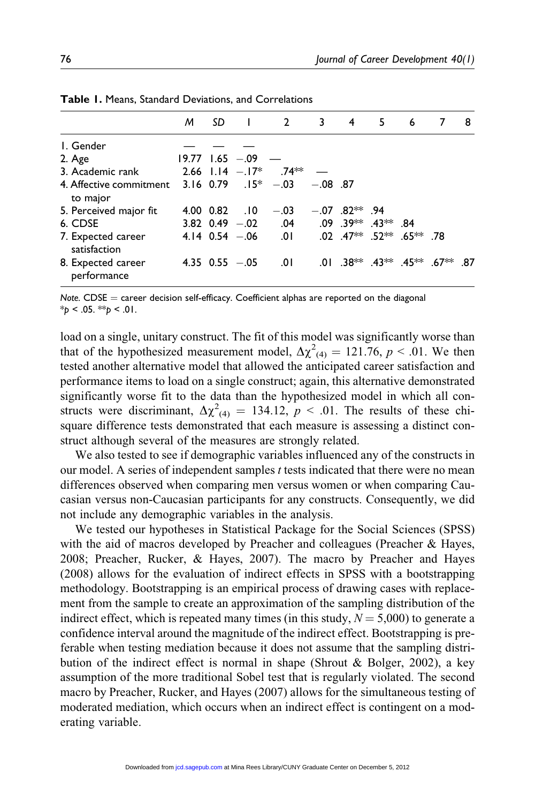|                                                                  | M | -SD | $\blacksquare$        | 2 3                                                          | 4 5                          | $\overline{\phantom{0}}$ 6 |                                             | 8 |
|------------------------------------------------------------------|---|-----|-----------------------|--------------------------------------------------------------|------------------------------|----------------------------|---------------------------------------------|---|
| I. Gender                                                        |   |     |                       |                                                              |                              |                            |                                             |   |
| 2. Age                                                           |   |     | $19.77$ 1.65 $-.09$ - |                                                              |                              |                            |                                             |   |
| 3. Academic rank                                                 |   |     |                       | 2.66 $1.14 - 17^*$ .74 <sup>**</sup>                         |                              |                            |                                             |   |
| 4. Affective commitment 3.16 0.79 .15* -.03 -.08 .87<br>to major |   |     |                       |                                                              |                              |                            |                                             |   |
| 5. Perceived major fit                                           |   |     | 4.00 0.82 .10         | $-.03$                                                       | $-.07$ .82 <sup>**</sup> .94 |                            |                                             |   |
| 6. CDSE                                                          |   |     |                       | 3.82 0.49 - 02 04 09 .39 <sup>**</sup> .43 <sup>**</sup> .84 |                              |                            |                                             |   |
| 7. Expected career<br>satisfaction                               |   |     |                       | 4.14 0.54 -.06 0.01 0.02 .47 <sup>**</sup> .52** .65** .78   |                              |                            |                                             |   |
| 8. Expected career<br>performance                                |   |     | 4.35 $0.55 - 0.05$    | .01                                                          |                              |                            | $.01$ $.38**$ $.43**$ $.45**$ $.67**$ $.87$ |   |

Table 1. Means, Standard Deviations, and Correlations

Note.  $CDSE =$  career decision self-efficacy. Coefficient alphas are reported on the diagonal  $*_{p}$  < .05.  $*_{p}$  < .01.

load on a single, unitary construct. The fit of this model was significantly worse than that of the hypothesized measurement model,  $\Delta \chi^2_{(4)} = 121.76, p < .01$ . We then tested another alternative model that allowed the anticipated career satisfaction and performance items to load on a single construct; again, this alternative demonstrated significantly worse fit to the data than the hypothesized model in which all constructs were discriminant,  $\Delta \chi^2_{(4)} = 134.12$ ,  $p < .01$ . The results of these chisquare difference tests demonstrated that each measure is assessing a distinct construct although several of the measures are strongly related.

We also tested to see if demographic variables influenced any of the constructs in our model. A series of independent samples t tests indicated that there were no mean differences observed when comparing men versus women or when comparing Caucasian versus non-Caucasian participants for any constructs. Consequently, we did not include any demographic variables in the analysis.

We tested our hypotheses in Statistical Package for the Social Sciences (SPSS) with the aid of macros developed by Preacher and colleagues (Preacher & Hayes, 2008; Preacher, Rucker, & Hayes, 2007). The macro by Preacher and Hayes (2008) allows for the evaluation of indirect effects in SPSS with a bootstrapping methodology. Bootstrapping is an empirical process of drawing cases with replacement from the sample to create an approximation of the sampling distribution of the indirect effect, which is repeated many times (in this study,  $N = 5,000$ ) to generate a confidence interval around the magnitude of the indirect effect. Bootstrapping is preferable when testing mediation because it does not assume that the sampling distribution of the indirect effect is normal in shape (Shrout & Bolger, 2002), a key assumption of the more traditional Sobel test that is regularly violated. The second macro by Preacher, Rucker, and Hayes (2007) allows for the simultaneous testing of moderated mediation, which occurs when an indirect effect is contingent on a moderating variable.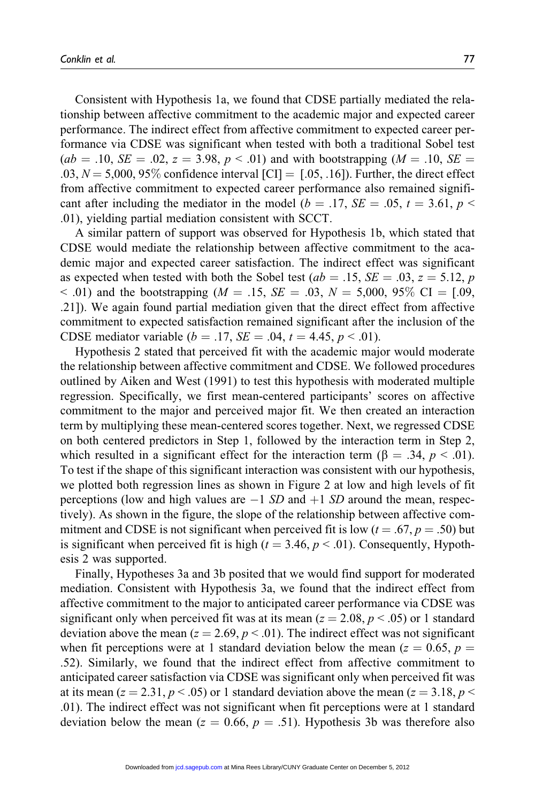Consistent with Hypothesis 1a, we found that CDSE partially mediated the relationship between affective commitment to the academic major and expected career performance. The indirect effect from affective commitment to expected career performance via CDSE was significant when tested with both a traditional Sobel test  $(ab = .10, SE = .02, z = 3.98, p < .01)$  and with bootstrapping  $(M = .10, SE = .02, z = 3.98, p < .01)$  $.03, N = 5,000, 95\%$  confidence interval  $\text{[CI]} = [.05, .16]$ . Further, the direct effect from affective commitment to expected career performance also remained significant after including the mediator in the model ( $b = .17$ ,  $SE = .05$ ,  $t = 3.61$ ,  $p <$ .01), yielding partial mediation consistent with SCCT.

A similar pattern of support was observed for Hypothesis 1b, which stated that CDSE would mediate the relationship between affective commitment to the academic major and expected career satisfaction. The indirect effect was significant as expected when tested with both the Sobel test ( $ab = .15$ ,  $SE = .03$ ,  $z = 5.12$ , p < .01) and the bootstrapping ( $M = .15$ ,  $SE = .03$ ,  $N = 5,000$ ,  $95\%$  CI = [.09, .21]). We again found partial mediation given that the direct effect from affective commitment to expected satisfaction remained significant after the inclusion of the CDSE mediator variable ( $b = .17$ ,  $SE = .04$ ,  $t = 4.45$ ,  $p < .01$ ).

Hypothesis 2 stated that perceived fit with the academic major would moderate the relationship between affective commitment and CDSE. We followed procedures outlined by Aiken and West (1991) to test this hypothesis with moderated multiple regression. Specifically, we first mean-centered participants' scores on affective commitment to the major and perceived major fit. We then created an interaction term by multiplying these mean-centered scores together. Next, we regressed CDSE on both centered predictors in Step 1, followed by the interaction term in Step 2, which resulted in a significant effect for the interaction term ( $\beta = .34$ ,  $p < .01$ ). To test if the shape of this significant interaction was consistent with our hypothesis, we plotted both regression lines as shown in Figure 2 at low and high levels of fit perceptions (low and high values are  $-1$  SD and  $+1$  SD around the mean, respectively). As shown in the figure, the slope of the relationship between affective commitment and CDSE is not significant when perceived fit is low  $(t = .67, p = .50)$  but is significant when perceived fit is high ( $t = 3.46$ ,  $p < .01$ ). Consequently, Hypothesis 2 was supported.

Finally, Hypotheses 3a and 3b posited that we would find support for moderated mediation. Consistent with Hypothesis 3a, we found that the indirect effect from affective commitment to the major to anticipated career performance via CDSE was significant only when perceived fit was at its mean ( $z = 2.08$ ,  $p < .05$ ) or 1 standard deviation above the mean ( $z = 2.69$ ,  $p < .01$ ). The indirect effect was not significant when fit perceptions were at 1 standard deviation below the mean ( $z = 0.65$ ,  $p =$ .52). Similarly, we found that the indirect effect from affective commitment to anticipated career satisfaction via CDSE was significant only when perceived fit was at its mean ( $z = 2.31$ ,  $p < .05$ ) or 1 standard deviation above the mean ( $z = 3.18$ ,  $p <$ .01). The indirect effect was not significant when fit perceptions were at 1 standard deviation below the mean ( $z = 0.66$ ,  $p = .51$ ). Hypothesis 3b was therefore also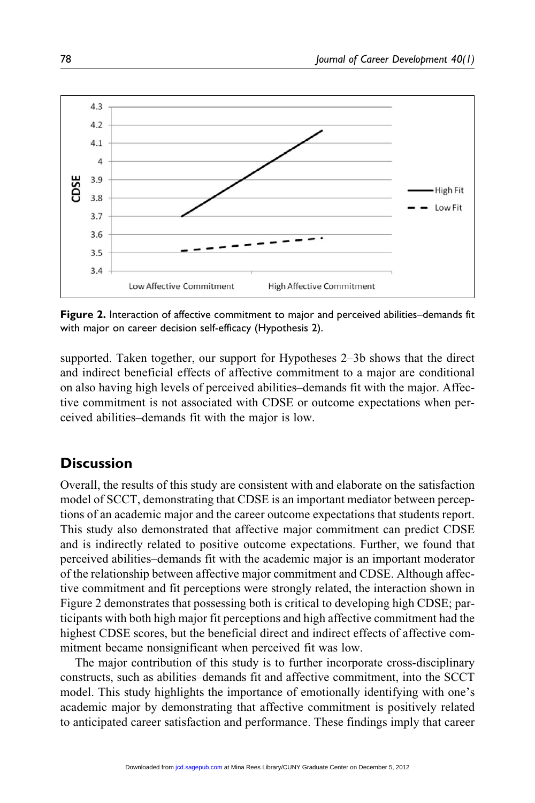

Figure 2. Interaction of affective commitment to major and perceived abilities–demands fit with major on career decision self-efficacy (Hypothesis 2).

supported. Taken together, our support for Hypotheses 2–3b shows that the direct and indirect beneficial effects of affective commitment to a major are conditional on also having high levels of perceived abilities–demands fit with the major. Affective commitment is not associated with CDSE or outcome expectations when perceived abilities–demands fit with the major is low.

## **Discussion**

Overall, the results of this study are consistent with and elaborate on the satisfaction model of SCCT, demonstrating that CDSE is an important mediator between perceptions of an academic major and the career outcome expectations that students report. This study also demonstrated that affective major commitment can predict CDSE and is indirectly related to positive outcome expectations. Further, we found that perceived abilities–demands fit with the academic major is an important moderator of the relationship between affective major commitment and CDSE. Although affective commitment and fit perceptions were strongly related, the interaction shown in Figure 2 demonstrates that possessing both is critical to developing high CDSE; participants with both high major fit perceptions and high affective commitment had the highest CDSE scores, but the beneficial direct and indirect effects of affective commitment became nonsignificant when perceived fit was low.

The major contribution of this study is to further incorporate cross-disciplinary constructs, such as abilities–demands fit and affective commitment, into the SCCT model. This study highlights the importance of emotionally identifying with one's academic major by demonstrating that affective commitment is positively related to anticipated career satisfaction and performance. These findings imply that career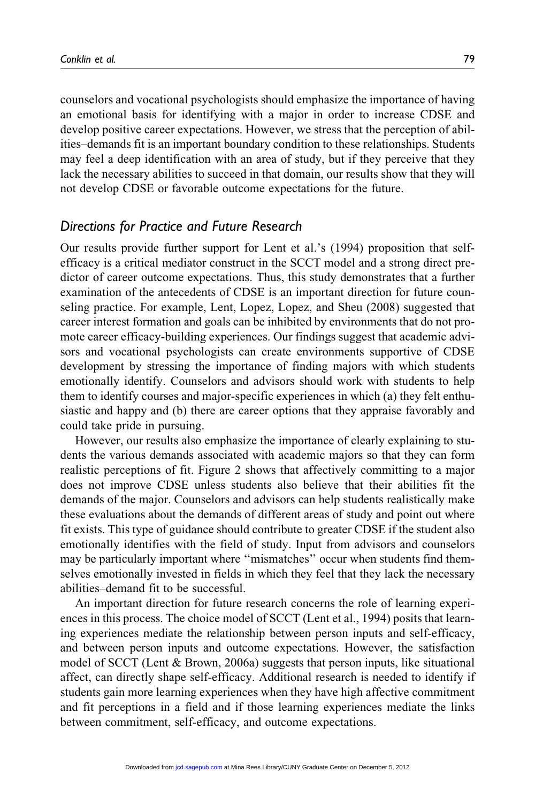counselors and vocational psychologists should emphasize the importance of having an emotional basis for identifying with a major in order to increase CDSE and develop positive career expectations. However, we stress that the perception of abilities–demands fit is an important boundary condition to these relationships. Students may feel a deep identification with an area of study, but if they perceive that they lack the necessary abilities to succeed in that domain, our results show that they will not develop CDSE or favorable outcome expectations for the future.

## Directions for Practice and Future Research

Our results provide further support for Lent et al.'s (1994) proposition that selfefficacy is a critical mediator construct in the SCCT model and a strong direct predictor of career outcome expectations. Thus, this study demonstrates that a further examination of the antecedents of CDSE is an important direction for future counseling practice. For example, Lent, Lopez, Lopez, and Sheu (2008) suggested that career interest formation and goals can be inhibited by environments that do not promote career efficacy-building experiences. Our findings suggest that academic advisors and vocational psychologists can create environments supportive of CDSE development by stressing the importance of finding majors with which students emotionally identify. Counselors and advisors should work with students to help them to identify courses and major-specific experiences in which (a) they felt enthusiastic and happy and (b) there are career options that they appraise favorably and could take pride in pursuing.

However, our results also emphasize the importance of clearly explaining to students the various demands associated with academic majors so that they can form realistic perceptions of fit. Figure 2 shows that affectively committing to a major does not improve CDSE unless students also believe that their abilities fit the demands of the major. Counselors and advisors can help students realistically make these evaluations about the demands of different areas of study and point out where fit exists. This type of guidance should contribute to greater CDSE if the student also emotionally identifies with the field of study. Input from advisors and counselors may be particularly important where ''mismatches'' occur when students find themselves emotionally invested in fields in which they feel that they lack the necessary abilities–demand fit to be successful.

An important direction for future research concerns the role of learning experiences in this process. The choice model of SCCT (Lent et al., 1994) posits that learning experiences mediate the relationship between person inputs and self-efficacy, and between person inputs and outcome expectations. However, the satisfaction model of SCCT (Lent & Brown, 2006a) suggests that person inputs, like situational affect, can directly shape self-efficacy. Additional research is needed to identify if students gain more learning experiences when they have high affective commitment and fit perceptions in a field and if those learning experiences mediate the links between commitment, self-efficacy, and outcome expectations.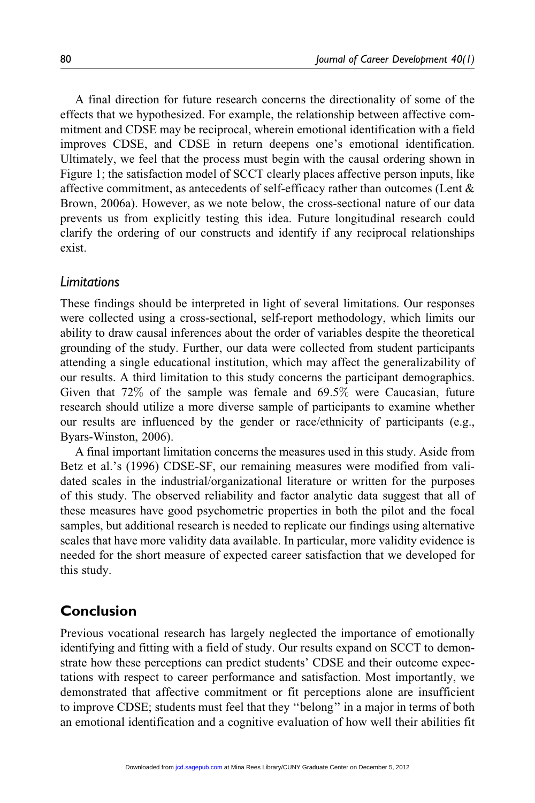A final direction for future research concerns the directionality of some of the effects that we hypothesized. For example, the relationship between affective commitment and CDSE may be reciprocal, wherein emotional identification with a field improves CDSE, and CDSE in return deepens one's emotional identification. Ultimately, we feel that the process must begin with the causal ordering shown in Figure 1; the satisfaction model of SCCT clearly places affective person inputs, like affective commitment, as antecedents of self-efficacy rather than outcomes (Lent & Brown, 2006a). However, as we note below, the cross-sectional nature of our data prevents us from explicitly testing this idea. Future longitudinal research could clarify the ordering of our constructs and identify if any reciprocal relationships exist.

#### Limitations

These findings should be interpreted in light of several limitations. Our responses were collected using a cross-sectional, self-report methodology, which limits our ability to draw causal inferences about the order of variables despite the theoretical grounding of the study. Further, our data were collected from student participants attending a single educational institution, which may affect the generalizability of our results. A third limitation to this study concerns the participant demographics. Given that 72% of the sample was female and 69.5% were Caucasian, future research should utilize a more diverse sample of participants to examine whether our results are influenced by the gender or race/ethnicity of participants (e.g., Byars-Winston, 2006).

A final important limitation concerns the measures used in this study. Aside from Betz et al.'s (1996) CDSE-SF, our remaining measures were modified from validated scales in the industrial/organizational literature or written for the purposes of this study. The observed reliability and factor analytic data suggest that all of these measures have good psychometric properties in both the pilot and the focal samples, but additional research is needed to replicate our findings using alternative scales that have more validity data available. In particular, more validity evidence is needed for the short measure of expected career satisfaction that we developed for this study.

## Conclusion

Previous vocational research has largely neglected the importance of emotionally identifying and fitting with a field of study. Our results expand on SCCT to demonstrate how these perceptions can predict students' CDSE and their outcome expectations with respect to career performance and satisfaction. Most importantly, we demonstrated that affective commitment or fit perceptions alone are insufficient to improve CDSE; students must feel that they ''belong'' in a major in terms of both an emotional identification and a cognitive evaluation of how well their abilities fit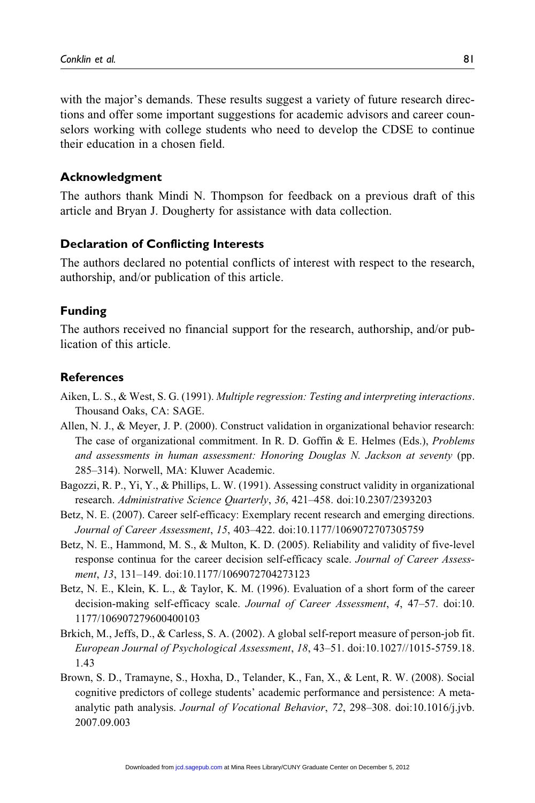with the major's demands. These results suggest a variety of future research directions and offer some important suggestions for academic advisors and career counselors working with college students who need to develop the CDSE to continue their education in a chosen field.

#### Acknowledgment

The authors thank Mindi N. Thompson for feedback on a previous draft of this article and Bryan J. Dougherty for assistance with data collection.

#### Declaration of Conflicting Interests

The authors declared no potential conflicts of interest with respect to the research, authorship, and/or publication of this article.

#### Funding

The authors received no financial support for the research, authorship, and/or publication of this article.

#### **References**

- Aiken, L. S., & West, S. G. (1991). Multiple regression: Testing and interpreting interactions. Thousand Oaks, CA: SAGE.
- Allen, N. J., & Meyer, J. P. (2000). Construct validation in organizational behavior research: The case of organizational commitment. In R. D. Goffin & E. Helmes (Eds.), Problems and assessments in human assessment: Honoring Douglas N. Jackson at seventy (pp. 285–314). Norwell, MA: Kluwer Academic.
- Bagozzi, R. P., Yi, Y., & Phillips, L. W. (1991). Assessing construct validity in organizational research. Administrative Science Quarterly, 36, 421–458. doi:10.2307/2393203
- Betz, N. E. (2007). Career self-efficacy: Exemplary recent research and emerging directions. Journal of Career Assessment, 15, 403–422. doi:10.1177/1069072707305759
- Betz, N. E., Hammond, M. S., & Multon, K. D. (2005). Reliability and validity of five-level response continua for the career decision self-efficacy scale. Journal of Career Assessment, 13, 131–149. doi:10.1177/1069072704273123
- Betz, N. E., Klein, K. L., & Taylor, K. M. (1996). Evaluation of a short form of the career decision-making self-efficacy scale. Journal of Career Assessment, 4, 47–57. doi:10. 1177/106907279600400103
- Brkich, M., Jeffs, D., & Carless, S. A. (2002). A global self-report measure of person-job fit. European Journal of Psychological Assessment, 18, 43–51. doi:10.1027//1015-5759.18. 1.43
- Brown, S. D., Tramayne, S., Hoxha, D., Telander, K., Fan, X., & Lent, R. W. (2008). Social cognitive predictors of college students' academic performance and persistence: A metaanalytic path analysis. Journal of Vocational Behavior, 72, 298–308. doi:10.1016/j.jvb. 2007.09.003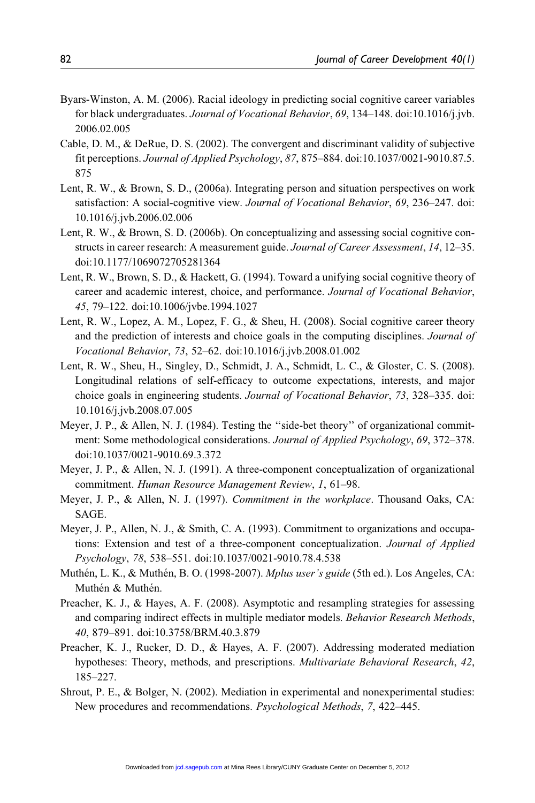- Byars-Winston, A. M. (2006). Racial ideology in predicting social cognitive career variables for black undergraduates. Journal of Vocational Behavior, 69, 134–148. doi:10.1016/j.jvb. 2006.02.005
- Cable, D. M., & DeRue, D. S. (2002). The convergent and discriminant validity of subjective fit perceptions. Journal of Applied Psychology, 87, 875–884. doi:10.1037/0021-9010.87.5. 875
- Lent, R. W., & Brown, S. D., (2006a). Integrating person and situation perspectives on work satisfaction: A social-cognitive view. Journal of Vocational Behavior, 69, 236–247. doi: 10.1016/j.jvb.2006.02.006
- Lent, R. W., & Brown, S. D. (2006b). On conceptualizing and assessing social cognitive constructs in career research: A measurement guide. Journal of Career Assessment, 14, 12-35. doi:10.1177/1069072705281364
- Lent, R. W., Brown, S. D., & Hackett, G. (1994). Toward a unifying social cognitive theory of career and academic interest, choice, and performance. Journal of Vocational Behavior, 45, 79–122. doi:10.1006/jvbe.1994.1027
- Lent, R. W., Lopez, A. M., Lopez, F. G., & Sheu, H. (2008). Social cognitive career theory and the prediction of interests and choice goals in the computing disciplines. Journal of Vocational Behavior, 73, 52–62. doi:10.1016/j.jvb.2008.01.002
- Lent, R. W., Sheu, H., Singley, D., Schmidt, J. A., Schmidt, L. C., & Gloster, C. S. (2008). Longitudinal relations of self-efficacy to outcome expectations, interests, and major choice goals in engineering students. Journal of Vocational Behavior, 73, 328–335. doi: 10.1016/j.jvb.2008.07.005
- Meyer, J. P., & Allen, N. J. (1984). Testing the "side-bet theory" of organizational commitment: Some methodological considerations. Journal of Applied Psychology, 69, 372–378. doi:10.1037/0021-9010.69.3.372
- Meyer, J. P., & Allen, N. J. (1991). A three-component conceptualization of organizational commitment. Human Resource Management Review, 1, 61–98.
- Meyer, J. P., & Allen, N. J. (1997). Commitment in the workplace. Thousand Oaks, CA: SAGE.
- Meyer, J. P., Allen, N. J., & Smith, C. A. (1993). Commitment to organizations and occupations: Extension and test of a three-component conceptualization. Journal of Applied Psychology, 78, 538–551. doi:10.1037/0021-9010.78.4.538
- Muthén, L. K., & Muthén, B. O. (1998-2007). Mplus user's guide (5th ed.). Los Angeles, CA: Muthén & Muthén.
- Preacher, K. J., & Hayes, A. F. (2008). Asymptotic and resampling strategies for assessing and comparing indirect effects in multiple mediator models. Behavior Research Methods, 40, 879–891. doi:10.3758/BRM.40.3.879
- Preacher, K. J., Rucker, D. D., & Hayes, A. F. (2007). Addressing moderated mediation hypotheses: Theory, methods, and prescriptions. *Multivariate Behavioral Research*, 42, 185–227.
- Shrout, P. E., & Bolger, N. (2002). Mediation in experimental and nonexperimental studies: New procedures and recommendations. Psychological Methods, 7, 422–445.